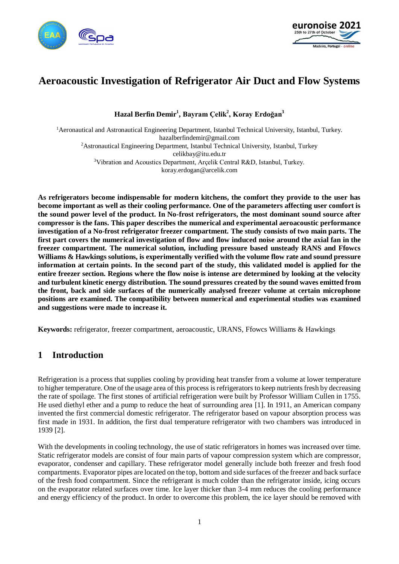



# **Aeroacoustic Investigation of Refrigerator Air Duct and Flow Systems**

**Hazal Berfin Demir<sup>1</sup> , Bayram Çelik<sup>2</sup> , Koray Erdoğan<sup>3</sup>**

<sup>1</sup>Aeronautical and Astronautical Engineering Department, Istanbul Technical University, Istanbul, Turkey. hazalberfindemir@gmail.com <sup>2</sup>Astronautical Engineering Department, Istanbul Technical University, Istanbul, Turkey celikbay@itu.edu.tr <sup>3</sup>Vibration and Acoustics Department, Arçelik Central R&D, Istanbul, Turkey. koray.erdogan@arcelik.com

**As refrigerators become indispensable for modern kitchens, the comfort they provide to the user has become important as well as their cooling performance. One of the parameters affecting user comfort is the sound power level of the product. In No-frost refrigerators, the most dominant sound source after compressor is the fans. This paper describes the numerical and experimental aeroacoustic performance investigation of a No-frost refrigerator freezer compartment. The study consists of two main parts. The first part covers the numerical investigation of flow and flow induced noise around the axial fan in the freezer compartment. The numerical solution, including pressure based unsteady RANS and Ffowcs Williams & Hawkings solutions, is experimentally verified with the volume flow rate and sound pressure information at certain points. In the second part of the study, this validated model is applied for the entire freezer section. Regions where the flow noise is intense are determined by looking at the velocity and turbulent kinetic energy distribution. The sound pressures created by the sound waves emitted from the front, back and side surfaces of the numerically analysed freezer volume at certain microphone positions are examined. The compatibility between numerical and experimental studies was examined and suggestions were made to increase it.**

**Keywords:** refrigerator, freezer compartment, aeroacoustic, URANS, Ffowcs Williams & Hawkings

# **1 Introduction**

Refrigeration is a process that supplies cooling by providing heat transfer from a volume at lower temperature to higher temperature. One of the usage area of this process is refrigerators to keep nutrients fresh by decreasing the rate of spoilage. The first stones of artificial refrigeration were built by Professor William Cullen in 1755. He used diethyl ether and a pump to reduce the heat of surrounding area [1]. In 1911, an American company invented the first commercial domestic refrigerator. The refrigerator based on vapour absorption process was first made in 1931. In addition, the first dual temperature refrigerator with two chambers was introduced in 1939 [2].

With the developments in cooling technology, the use of static refrigerators in homes was increased over time. Static refrigerator models are consist of four main parts of vapour compression system which are compressor, evaporator, condenser and capillary. These refrigerator model generally include both freezer and fresh food compartments. Evaporator pipes are located on the top, bottom and side surfaces of the freezer and back surface of the fresh food compartment. Since the refrigerant is much colder than the refrigerator inside, icing occurs on the evaporator related surfaces over time. Ice layer thicker than 3-4 mm reduces the cooling performance and energy efficiency of the product. In order to overcome this problem, the ice layer should be removed with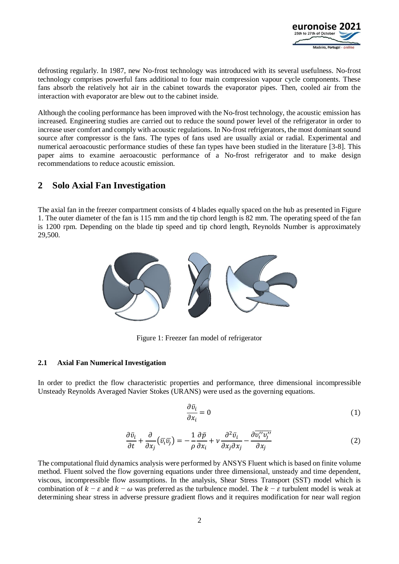

defrosting regularly. In 1987, new No-frost technology was introduced with its several usefulness. No-frost technology comprises powerful fans additional to four main compression vapour cycle components. These fans absorb the relatively hot air in the cabinet towards the evaporator pipes. Then, cooled air from the interaction with evaporator are blew out to the cabinet inside.

Although the cooling performance has been improved with the No-frost technology, the acoustic emission has increased. Engineering studies are carried out to reduce the sound power level of the refrigerator in order to increase user comfort and comply with acoustic regulations. In No-frost refrigerators, the most dominant sound source after compressor is the fans. The types of fans used are usually axial or radial. Experimental and numerical aeroacoustic performance studies of these fan types have been studied in the literature [3-8]. This paper aims to examine aeroacoustic performance of a No-frost refrigerator and to make design recommendations to reduce acoustic emission.

# **2 Solo Axial Fan Investigation**

The axial fan in the freezer compartment consists of 4 blades equally spaced on the hub as presented in Figure 1. The outer diameter of the fan is 115 mm and the tip chord length is 82 mm. The operating speed of the fan is 1200 rpm. Depending on the blade tip speed and tip chord length, Reynolds Number is approximately 29,500.



Figure 1: Freezer fan model of refrigerator

#### **2.1 Axial Fan Numerical Investigation**

In order to predict the flow characteristic properties and performance, three dimensional incompressible Unsteady Reynolds Averaged Navier Stokes (URANS) were used as the governing equations.

$$
\frac{\partial \bar{v_i}}{\partial x_i} = 0 \tag{1}
$$

$$
\frac{\partial \bar{v}_i}{\partial t} + \frac{\partial}{\partial x_j} (\bar{v}_i \bar{v}_j) = -\frac{1}{\rho} \frac{\partial \bar{p}}{\partial x_i} + \nu \frac{\partial^2 \bar{v}_i}{\partial x_j \partial x_j} - \frac{\partial \bar{v}_i^{\prime \prime} v_j^{\prime \prime}}{\partial x_j}
$$
(2)

The computational fluid dynamics analysis were performed by ANSYS Fluent which is based on finite volume method. Fluent solved the flow governing equations under three dimensional, unsteady and time dependent, viscous, incompressible flow assumptions. In the analysis, Shear Stress Transport (SST) model which is combination of  $k - \varepsilon$  and  $k - \omega$  was preferred as the turbulence model. The  $k - \varepsilon$  turbulent model is weak at determining shear stress in adverse pressure gradient flows and it requires modification for near wall region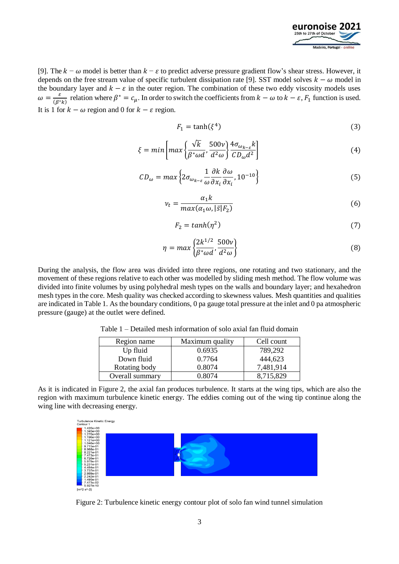

[9]. The  $k - \omega$  model is better than  $k - \varepsilon$  to predict adverse pressure gradient flow's shear stress. However, it depends on the free stream value of specific turbulent dissipation rate [9]. SST model solves  $k - \omega$  model in the boundary layer and  $k - \varepsilon$  in the outer region. The combination of these two eddy viscosity models uses  $\omega = \frac{\varepsilon}{\sqrt{\rho^*}}$  $\frac{\varepsilon}{(\beta^*k)}$  relation where  $\beta^* = c_\mu$ . In order to switch the coefficients from  $k - \omega$  to  $k - \varepsilon$ ,  $F_1$  function is used. It is 1 for  $k - \omega$  region and 0 for  $k - \varepsilon$  region.

$$
F_1 = \tanh(\xi^4) \tag{3}
$$

$$
\xi = \min \left[ \max \left\{ \frac{\sqrt{k}}{\beta^* \omega d}, \frac{500\nu}{d^2 \omega} \right\} \frac{4\sigma_{\omega_{k-\varepsilon}}k}{CD_{\omega}d^2} \right] \tag{4}
$$

$$
CD_{\omega} = \max \left\{ 2\sigma_{\omega_{k-\varepsilon}} \frac{1}{\omega} \frac{\partial k}{\partial x_i} \frac{\partial \omega}{\partial x_i}, 10^{-10} \right\}
$$
(5)

$$
v_t = \frac{\alpha_1 k}{\max(\alpha_1 \omega, |\bar{s}| F_2)}\tag{6}
$$

$$
F_2 = \tanh(\eta^2) \tag{7}
$$

$$
\eta = \max\left\{\frac{2k^{1/2}}{\beta^* \omega d}, \frac{500\nu}{d^2 \omega}\right\} \tag{8}
$$

During the analysis, the flow area was divided into three regions, one rotating and two stationary, and the movement of these regions relative to each other was modelled by sliding mesh method. The flow volume was divided into finite volumes by using polyhedral mesh types on the walls and boundary layer; and hexahedron mesh types in the core. Mesh quality was checked according to skewness values. Mesh quantities and qualities are indicated in Table 1. As the boundary conditions, 0 pa gauge total pressure at the inlet and 0 pa atmospheric pressure (gauge) at the outlet were defined.

Table 1 – Detailed mesh information of solo axial fan fluid domain

| Region name     | Maximum quality | Cell count |
|-----------------|-----------------|------------|
| Up fluid        | 0.6935          | 789,292    |
| Down fluid      | 0.7764          | 444,623    |
| Rotating body   | 0.8074          | 7,481,914  |
| Overall summary | 0 8074          | 8,715,829  |

As it is indicated in Figure 2, the axial fan produces turbulence. It starts at the wing tips, which are also the region with maximum turbulence kinetic energy. The eddies coming out of the wing tip continue along the wing line with decreasing energy.



Figure 2: Turbulence kinetic energy contour plot of solo fan wind tunnel simulation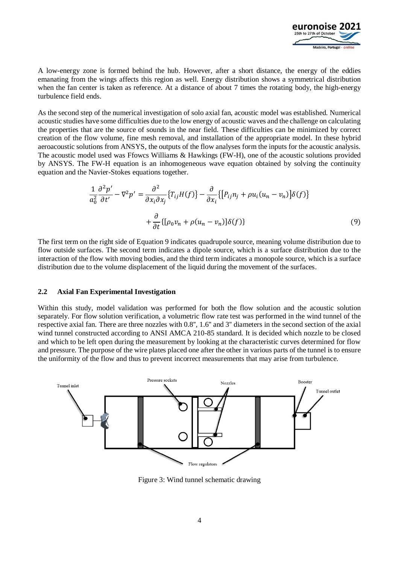

A low-energy zone is formed behind the hub. However, after a short distance, the energy of the eddies emanating from the wings affects this region as well. Energy distribution shows a symmetrical distribution when the fan center is taken as reference. At a distance of about 7 times the rotating body, the high-energy turbulence field ends.

As the second step of the numerical investigation of solo axial fan, acoustic model was established. Numerical acoustic studies have some difficulties due to the low energy of acoustic waves and the challenge on calculating the properties that are the source of sounds in the near field. These difficulties can be minimized by correct creation of the flow volume, fine mesh removal, and installation of the appropriate model. In these hybrid aeroacoustic solutions from ANSYS, the outputs of the flow analyses form the inputs for the acoustic analysis. The acoustic model used was Ffowcs Williams & Hawkings (FW-H), one of the acoustic solutions provided by ANSYS. The FW-H equation is an inhomogeneous wave equation obtained by solving the continuity equation and the Navier-Stokes equations together.

$$
\frac{1}{a_0^2} \frac{\partial^2 p'}{\partial t'} - \nabla^2 p' = \frac{\partial^2}{\partial x_i \partial x_j} \{T_{ij} H(f)\} - \frac{\partial}{\partial x_i} \{[P_{ij} n_j + \rho u_i (u_n - v_n)] \delta(f)\} \n+ \frac{\partial}{\partial t} \{[\rho_0 v_n + \rho (u_n - v_n)] \delta(f)\}
$$
\n(9)

The first term on the right side of Equation 9 indicates quadrupole source, meaning volume distribution due to flow outside surfaces. The second term indicates a dipole source, which is a surface distribution due to the interaction of the flow with moving bodies, and the third term indicates a monopole source, which is a surface distribution due to the volume displacement of the liquid during the movement of the surfaces.

#### **2.2 Axial Fan Experimental Investigation**

Within this study, model validation was performed for both the flow solution and the acoustic solution separately. For flow solution verification, a volumetric flow rate test was performed in the wind tunnel of the respective axial fan. There are three nozzles with 0.8'', 1.6'' and 3'' diameters in the second section of the axial wind tunnel constructed according to ANSI AMCA 210-85 standard. It is decided which nozzle to be closed and which to be left open during the measurement by looking at the characteristic curves determined for flow and pressure. The purpose of the wire plates placed one after the other in various parts of the tunnel is to ensure the uniformity of the flow and thus to prevent incorrect measurements that may arise from turbulence.



Figure 3: Wind tunnel schematic drawing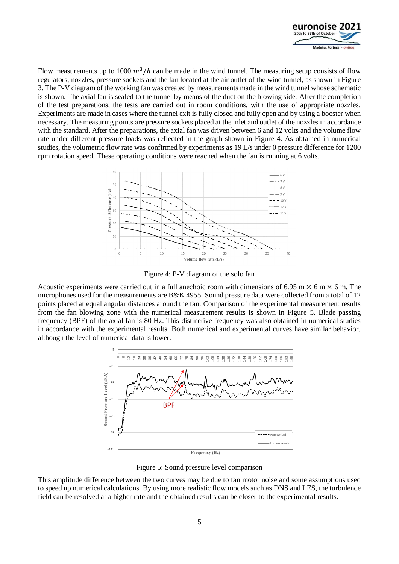

Flow measurements up to 1000  $m^3/h$  can be made in the wind tunnel. The measuring setup consists of flow regulators, nozzles, pressure sockets and the fan located at the air outlet of the wind tunnel, as shown in Figure 3. The P-V diagram of the working fan was created by measurements made in the wind tunnel whose schematic is shown. The axial fan is sealed to the tunnel by means of the duct on the blowing side. After the completion of the test preparations, the tests are carried out in room conditions, with the use of appropriate nozzles. Experiments are made in cases where the tunnel exit is fully closed and fully open and by using a booster when necessary. The measuring points are pressure sockets placed at the inlet and outlet of the nozzles in accordance with the standard. After the preparations, the axial fan was driven between 6 and 12 volts and the volume flow rate under different pressure loads was reflected in the graph shown in Figure 4. As obtained in numerical studies, the volumetric flow rate was confirmed by experiments as 19 L/s under 0 pressure difference for 1200 rpm rotation speed. These operating conditions were reached when the fan is running at 6 volts.



Figure 4: P-V diagram of the solo fan

Acoustic experiments were carried out in a full anechoic room with dimensions of 6.95 m  $\times$  6 m  $\times$  6 m. The microphones used for the measurements are B&K 4955. Sound pressure data were collected from a total of 12 points placed at equal angular distances around the fan. Comparison of the experimental measurement results from the fan blowing zone with the numerical measurement results is shown in Figure 5. Blade passing frequency (BPF) of the axial fan is 80 Hz. This distinctive frequency was also obtained in numerical studies in accordance with the experimental results. Both numerical and experimental curves have similar behavior, although the level of numerical data is lower.



Figure 5: Sound pressure level comparison

This amplitude difference between the two curves may be due to fan motor noise and some assumptions used to speed up numerical calculations. By using more realistic flow models such as DNS and LES, the turbulence field can be resolved at a higher rate and the obtained results can be closer to the experimental results.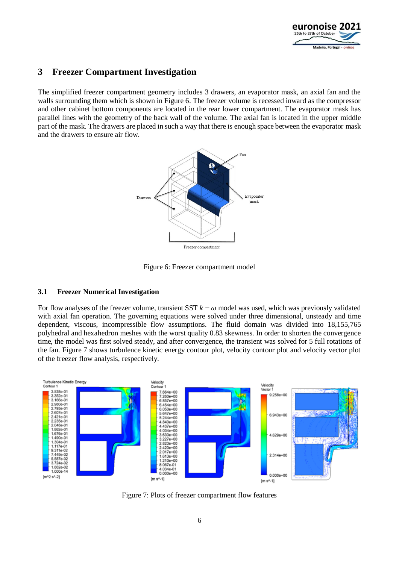

# **3 Freezer Compartment Investigation**

The simplified freezer compartment geometry includes 3 drawers, an evaporator mask, an axial fan and the walls surrounding them which is shown in Figure 6. The freezer volume is recessed inward as the compressor and other cabinet bottom components are located in the rear lower compartment. The evaporator mask has parallel lines with the geometry of the back wall of the volume. The axial fan is located in the upper middle part of the mask. The drawers are placed in such a way that there is enough space between the evaporator mask and the drawers to ensure air flow.



Figure 6: Freezer compartment model

### **3.1 Freezer Numerical Investigation**

For flow analyses of the freezer volume, transient SST  $k - \omega$  model was used, which was previously validated with axial fan operation. The governing equations were solved under three dimensional, unsteady and time dependent, viscous, incompressible flow assumptions. The fluid domain was divided into 18,155,765 polyhedral and hexahedron meshes with the worst quality 0.83 skewness. In order to shorten the convergence time, the model was first solved steady, and after convergence, the transient was solved for 5 full rotations of the fan. Figure 7 shows turbulence kinetic energy contour plot, velocity contour plot and velocity vector plot of the freezer flow analysis, respectively.



Figure 7: Plots of freezer compartment flow features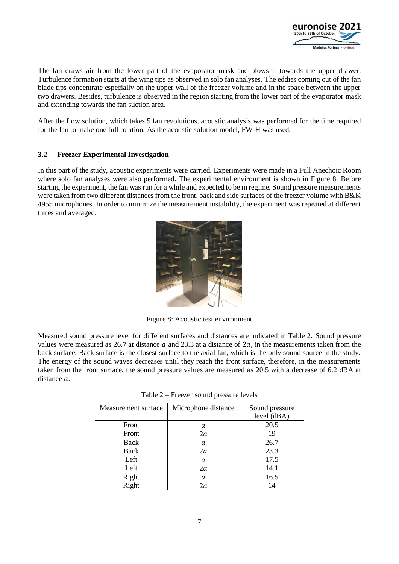

The fan draws air from the lower part of the evaporator mask and blows it towards the upper drawer. Turbulence formation starts at the wing tips as observed in solo fan analyses. The eddies coming out of the fan blade tips concentrate especially on the upper wall of the freezer volume and in the space between the upper two drawers. Besides, turbulence is observed in the region starting from the lower part of the evaporator mask and extending towards the fan suction area.

After the flow solution, which takes 5 fan revolutions, acoustic analysis was performed for the time required for the fan to make one full rotation. As the acoustic solution model, FW-H was used.

#### **3.2 Freezer Experimental Investigation**

In this part of the study, acoustic experiments were carried. Experiments were made in a Full Anechoic Room where solo fan analyses were also performed. The experimental environment is shown in Figure 8. Before starting the experiment, the fan was run for a while and expected to be in regime. Sound pressure measurements were taken from two different distances from the front, back and side surfaces of the freezer volume with B&K 4955 microphones. In order to minimize the measurement instability, the experiment was repeated at different times and averaged.



Figure 8: Acoustic test environment

Measured sound pressure level for different surfaces and distances are indicated in Table 2. Sound pressure values were measured as 26.7 at distance  $\alpha$  and 23.3 at a distance of 2 $\alpha$ , in the measurements taken from the back surface. Back surface is the closest surface to the axial fan, which is the only sound source in the study. The energy of the sound waves decreases until they reach the front surface, therefore, in the measurements taken from the front surface, the sound pressure values are measured as 20.5 with a decrease of 6.2 dBA at distance  $a$ .

| Measurement surface | Microphone distance | Sound pressure |
|---------------------|---------------------|----------------|
|                     |                     | level (dBA)    |
| Front               | а                   | 20.5           |
| Front               | 2a                  | 19             |
| Back                | a                   | 26.7           |
| Back                | 2a                  | 23.3           |
| Left                | a                   | 17.5           |
| Left                | 2a                  | 14.1           |
| Right               | a                   | 16.5           |
| Right               | 2a                  | 14             |

Table 2 – Freezer sound pressure levels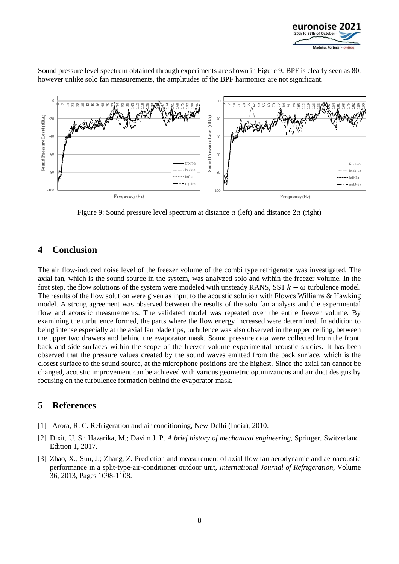

Sound pressure level spectrum obtained through experiments are shown in Figure 9. BPF is clearly seen as 80, however unlike solo fan measurements, the amplitudes of the BPF harmonics are not significant.



Figure 9: Sound pressure level spectrum at distance  $a$  (left) and distance  $2a$  (right)

## **4 Conclusion**

The air flow-induced noise level of the freezer volume of the combi type refrigerator was investigated. The axial fan, which is the sound source in the system, was analyzed solo and within the freezer volume. In the first step, the flow solutions of the system were modeled with unsteady RANS, SST  $k - \omega$  turbulence model. The results of the flow solution were given as input to the acoustic solution with Ffowcs Williams & Hawking model. A strong agreement was observed between the results of the solo fan analysis and the experimental flow and acoustic measurements. The validated model was repeated over the entire freezer volume. By examining the turbulence formed, the parts where the flow energy increased were determined. In addition to being intense especially at the axial fan blade tips, turbulence was also observed in the upper ceiling, between the upper two drawers and behind the evaporator mask. Sound pressure data were collected from the front, back and side surfaces within the scope of the freezer volume experimental acoustic studies. It has been observed that the pressure values created by the sound waves emitted from the back surface, which is the closest surface to the sound source, at the microphone positions are the highest. Since the axial fan cannot be changed, acoustic improvement can be achieved with various geometric optimizations and air duct designs by focusing on the turbulence formation behind the evaporator mask.

### **5 References**

- [1] Arora, R. C. Refrigeration and air conditioning, New Delhi (India), 2010.
- [2] Dixit, U. S.; Hazarika, M.; Davim J. P. *A brief history of mechanical engineering,* Springer, Switzerland, Edition 1, 2017.
- [3] Zhao, X.; Sun, J.; Zhang, Z. Prediction and measurement of axial flow fan aerodynamic and aeroacoustic performance in a split-type-air-conditioner outdoor unit, *International Journal of Refrigeration*, Volume 36, 2013, Pages 1098-1108.